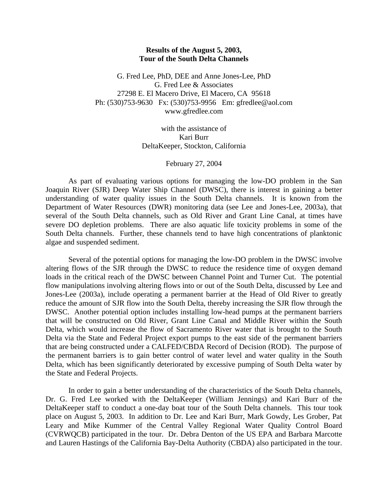## **Results of the August 5, 2003, Tour of the South Delta Channels**

G. Fred Lee, PhD, DEE and Anne Jones-Lee, PhD G. Fred Lee & Associates 27298 E. El Macero Drive, El Macero, CA 95618 Ph: (530)753-9630 Fx: (530)753-9956 Em: gfredlee@aol.com www.gfredlee.com

> with the assistance of Kari Burr DeltaKeeper, Stockton, California

# February 27, 2004

 As part of evaluating various options for managing the low-DO problem in the San Joaquin River (SJR) Deep Water Ship Channel (DWSC), there is interest in gaining a better understanding of water quality issues in the South Delta channels. It is known from the Department of Water Resources (DWR) monitoring data (see Lee and Jones-Lee, 2003a), that several of the South Delta channels, such as Old River and Grant Line Canal, at times have severe DO depletion problems. There are also aquatic life toxicity problems in some of the South Delta channels. Further, these channels tend to have high concentrations of planktonic algae and suspended sediment.

 Several of the potential options for managing the low-DO problem in the DWSC involve altering flows of the SJR through the DWSC to reduce the residence time of oxygen demand loads in the critical reach of the DWSC between Channel Point and Turner Cut. The potential flow manipulations involving altering flows into or out of the South Delta, discussed by Lee and Jones-Lee (2003a), include operating a permanent barrier at the Head of Old River to greatly reduce the amount of SJR flow into the South Delta, thereby increasing the SJR flow through the DWSC. Another potential option includes installing low-head pumps at the permanent barriers that will be constructed on Old River, Grant Line Canal and Middle River within the South Delta, which would increase the flow of Sacramento River water that is brought to the South Delta via the State and Federal Project export pumps to the east side of the permanent barriers that are being constructed under a CALFED/CBDA Record of Decision (ROD). The purpose of the permanent barriers is to gain better control of water level and water quality in the South Delta, which has been significantly deteriorated by excessive pumping of South Delta water by the State and Federal Projects.

 In order to gain a better understanding of the characteristics of the South Delta channels, Dr. G. Fred Lee worked with the DeltaKeeper (William Jennings) and Kari Burr of the DeltaKeeper staff to conduct a one-day boat tour of the South Delta channels. This tour took place on August 5, 2003. In addition to Dr. Lee and Kari Burr, Mark Gowdy, Les Grober, Pat Leary and Mike Kummer of the Central Valley Regional Water Quality Control Board (CVRWQCB) participated in the tour. Dr. Debra Denton of the US EPA and Barbara Marcotte and Lauren Hastings of the California Bay-Delta Authority (CBDA) also participated in the tour.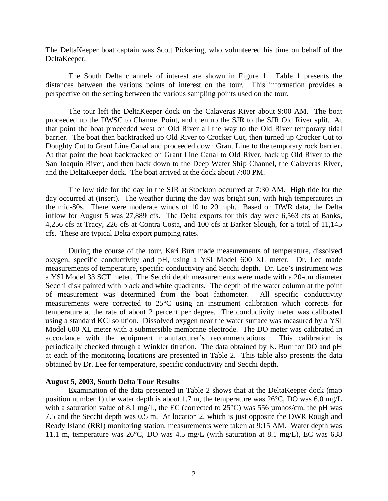The DeltaKeeper boat captain was Scott Pickering, who volunteered his time on behalf of the DeltaKeeper.

 The South Delta channels of interest are shown in Figure 1. Table 1 presents the distances between the various points of interest on the tour. This information provides a perspective on the setting between the various sampling points used on the tour.

 The tour left the DeltaKeeper dock on the Calaveras River about 9:00 AM. The boat proceeded up the DWSC to Channel Point, and then up the SJR to the SJR Old River split. At that point the boat proceeded west on Old River all the way to the Old River temporary tidal barrier. The boat then backtracked up Old River to Crocker Cut, then turned up Crocker Cut to Doughty Cut to Grant Line Canal and proceeded down Grant Line to the temporary rock barrier. At that point the boat backtracked on Grant Line Canal to Old River, back up Old River to the San Joaquin River, and then back down to the Deep Water Ship Channel, the Calaveras River, and the DeltaKeeper dock. The boat arrived at the dock about 7:00 PM.

 The low tide for the day in the SJR at Stockton occurred at 7:30 AM. High tide for the day occurred at (insert). The weather during the day was bright sun, with high temperatures in the mid-80s. There were moderate winds of 10 to 20 mph. Based on DWR data, the Delta inflow for August 5 was 27,889 cfs. The Delta exports for this day were 6,563 cfs at Banks, 4,256 cfs at Tracy, 226 cfs at Contra Costa, and 100 cfs at Barker Slough, for a total of 11,145 cfs. These are typical Delta export pumping rates.

 During the course of the tour, Kari Burr made measurements of temperature, dissolved oxygen, specific conductivity and pH, using a YSI Model 600 XL meter. Dr. Lee made measurements of temperature, specific conductivity and Secchi depth. Dr. Lee's instrument was a YSI Model 33 SCT meter. The Secchi depth measurements were made with a 20-cm diameter Secchi disk painted with black and white quadrants. The depth of the water column at the point of measurement was determined from the boat fathometer. All specific conductivity measurements were corrected to 25°C using an instrument calibration which corrects for temperature at the rate of about 2 percent per degree. The conductivity meter was calibrated using a standard KCl solution. Dissolved oxygen near the water surface was measured by a YSI Model 600 XL meter with a submersible membrane electrode. The DO meter was calibrated in accordance with the equipment manufacturer's recommendations. This calibration is periodically checked through a Winkler titration. The data obtained by K. Burr for DO and pH at each of the monitoring locations are presented in Table 2. This table also presents the data obtained by Dr. Lee for temperature, specific conductivity and Secchi depth.

#### **August 5, 2003, South Delta Tour Results**

 Examination of the data presented in Table 2 shows that at the DeltaKeeper dock (map position number 1) the water depth is about 1.7 m, the temperature was 26°C, DO was 6.0 mg/L with a saturation value of 8.1 mg/L, the EC (corrected to  $25^{\circ}$ C) was 556 µmhos/cm, the pH was 7.5 and the Secchi depth was 0.5 m. At location 2, which is just opposite the DWR Rough and Ready Island (RRI) monitoring station, measurements were taken at 9:15 AM. Water depth was 11.1 m, temperature was 26°C, DO was 4.5 mg/L (with saturation at 8.1 mg/L), EC was 638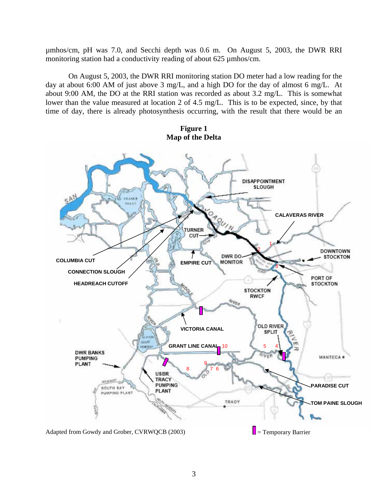µmhos/cm, pH was 7.0, and Secchi depth was 0.6 m. On August 5, 2003, the DWR RRI monitoring station had a conductivity reading of about 625 µmhos/cm.

 On August 5, 2003, the DWR RRI monitoring station DO meter had a low reading for the day at about 6:00 AM of just above 3 mg/L, and a high DO for the day of almost 6 mg/L. At about 9:00 AM, the DO at the RRI station was recorded as about 3.2 mg/L. This is somewhat lower than the value measured at location 2 of 4.5 mg/L. This is to be expected, since, by that time of day, there is already photosynthesis occurring, with the result that there would be an



**Figure 1 Map of the Delta**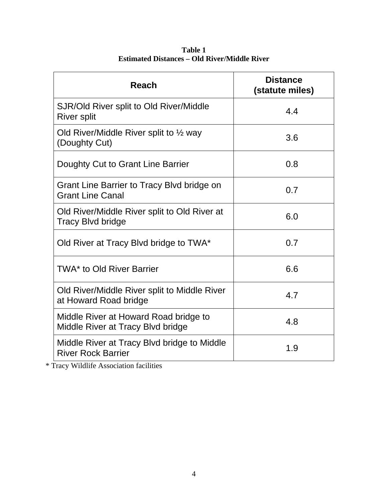| Reach                                                                      | <b>Distance</b><br>(statute miles) |
|----------------------------------------------------------------------------|------------------------------------|
| SJR/Old River split to Old River/Middle<br><b>River split</b>              | 4.4                                |
| Old River/Middle River split to 1/2 way<br>(Doughty Cut)                   | 3.6                                |
| Doughty Cut to Grant Line Barrier                                          | 0.8                                |
| Grant Line Barrier to Tracy Blvd bridge on<br><b>Grant Line Canal</b>      | 0.7                                |
| Old River/Middle River split to Old River at<br><b>Tracy Blvd bridge</b>   | 6.0                                |
| Old River at Tracy Blvd bridge to TWA*                                     | 0.7                                |
| <b>TWA* to Old River Barrier</b>                                           | 6.6                                |
| Old River/Middle River split to Middle River<br>at Howard Road bridge      | 4.7                                |
| Middle River at Howard Road bridge to<br>Middle River at Tracy Blvd bridge | 4.8                                |
| Middle River at Tracy Blvd bridge to Middle<br><b>River Rock Barrier</b>   | 1.9                                |

**Table 1 Estimated Distances – Old River/Middle River** 

\* Tracy Wildlife Association facilities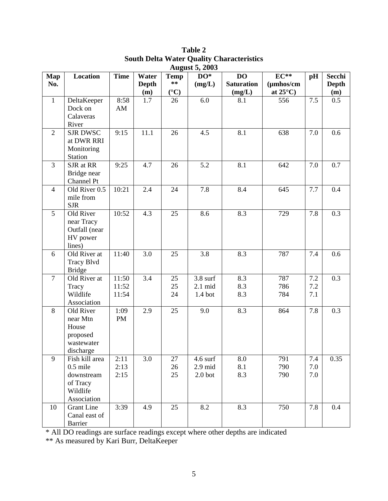| <b>August 5, 2003</b> |                                    |             |                              |                                              |                    |                                          |                                                |     |                               |  |  |
|-----------------------|------------------------------------|-------------|------------------------------|----------------------------------------------|--------------------|------------------------------------------|------------------------------------------------|-----|-------------------------------|--|--|
| Map<br>No.            | Location                           | <b>Time</b> | Water<br><b>Depth</b><br>(m) | <b>Temp</b><br>$\ast\ast$<br>$({}^{\circ}C)$ | DO*<br>(mg/L)      | <b>DO</b><br><b>Saturation</b><br>(mg/L) | $EC**$<br>$(\mu$ mhos/cm<br>at $25^{\circ}$ C) | pH  | Secchi<br><b>Depth</b><br>(m) |  |  |
| $\mathbf{1}$          | DeltaKeeper                        | 8:58        | 1.7                          | 26                                           | 6.0                | 8.1                                      | 556                                            | 7.5 | 0.5                           |  |  |
|                       | Dock on                            | AM          |                              |                                              |                    |                                          |                                                |     |                               |  |  |
|                       | Calaveras                          |             |                              |                                              |                    |                                          |                                                |     |                               |  |  |
|                       | River                              |             |                              |                                              |                    |                                          |                                                |     |                               |  |  |
| $\overline{2}$        | <b>SJR DWSC</b><br>at DWR RRI      | 9:15        | 11.1                         | 26                                           | 4.5                | 8.1                                      | 638                                            | 7.0 | 0.6                           |  |  |
|                       | Monitoring                         |             |                              |                                              |                    |                                          |                                                |     |                               |  |  |
|                       | <b>Station</b>                     |             |                              |                                              |                    |                                          |                                                |     |                               |  |  |
| 3                     | SJR at RR                          | 9:25        | 4.7                          | 26                                           | 5.2                | 8.1                                      | 642                                            | 7.0 | 0.7                           |  |  |
|                       | Bridge near                        |             |                              |                                              |                    |                                          |                                                |     |                               |  |  |
|                       | Channel Pt                         |             |                              |                                              |                    |                                          |                                                |     |                               |  |  |
| $\overline{4}$        | Old River $0.5$<br>mile from       | 10:21       | 2.4                          | 24                                           | 7.8                | 8.4                                      | 645                                            | 7.7 | 0.4                           |  |  |
|                       | <b>SJR</b>                         |             |                              |                                              |                    |                                          |                                                |     |                               |  |  |
| 5                     | Old River                          | 10:52       | 4.3                          | 25                                           | 8.6                | 8.3                                      | 729                                            | 7.8 | 0.3                           |  |  |
|                       | near Tracy                         |             |                              |                                              |                    |                                          |                                                |     |                               |  |  |
|                       | Outfall (near                      |             |                              |                                              |                    |                                          |                                                |     |                               |  |  |
|                       | HV power                           |             |                              |                                              |                    |                                          |                                                |     |                               |  |  |
|                       | lines)                             |             |                              |                                              |                    |                                          |                                                |     |                               |  |  |
| 6                     | Old River at                       | 11:40       | 3.0                          | 25                                           | 3.8                | 8.3                                      | 787                                            | 7.4 | 0.6                           |  |  |
|                       | <b>Tracy Blvd</b><br><b>Bridge</b> |             |                              |                                              |                    |                                          |                                                |     |                               |  |  |
| $\overline{7}$        | Old River at                       | 11:50       | 3.4                          | 25                                           | $3.8 \text{ surf}$ | 8.3                                      | 787                                            | 7.2 | 0.3                           |  |  |
|                       | Tracy                              | 11:52       |                              | 25                                           | $2.1$ mid          | 8.3                                      | 786                                            | 7.2 |                               |  |  |
|                       | Wildlife                           | 11:54       |                              | 24                                           | $1.4$ bot          | 8.3                                      | 784                                            | 7.1 |                               |  |  |
|                       | Association                        |             |                              |                                              |                    |                                          |                                                |     |                               |  |  |
| 8                     | Old River                          | 1:09        | 2.9                          | 25                                           | 9.0                | 8.3                                      | 864                                            | 7.8 | 0.3                           |  |  |
|                       | near Mtn<br>House                  | <b>PM</b>   |                              |                                              |                    |                                          |                                                |     |                               |  |  |
|                       | proposed                           |             |                              |                                              |                    |                                          |                                                |     |                               |  |  |
|                       | wastewater                         |             |                              |                                              |                    |                                          |                                                |     |                               |  |  |
|                       | discharge                          |             |                              |                                              |                    |                                          |                                                |     |                               |  |  |
| 9                     | Fish kill area                     | 2:11        | 3.0                          | 27                                           | $4.6 \text{ surf}$ | 8.0                                      | 791                                            | 7.4 | 0.35                          |  |  |
|                       | $0.5$ mile                         | 2:13        |                              | 26                                           | $2.9$ mid          | 8.1                                      | 790                                            | 7.0 |                               |  |  |
|                       | downstream<br>of Tracy             | 2:15        |                              | 25                                           | 2.0 <sub>bot</sub> | 8.3                                      | 790                                            | 7.0 |                               |  |  |
|                       | Wildlife                           |             |                              |                                              |                    |                                          |                                                |     |                               |  |  |
|                       | Association                        |             |                              |                                              |                    |                                          |                                                |     |                               |  |  |
| 10                    | <b>Grant Line</b>                  | 3:39        | 4.9                          | 25                                           | 8.2                | 8.3                                      | 750                                            | 7.8 | 0.4                           |  |  |
|                       | Canal east of                      |             |                              |                                              |                    |                                          |                                                |     |                               |  |  |
|                       | <b>Barrier</b>                     |             |                              |                                              |                    |                                          |                                                |     |                               |  |  |

**Table 2 South Delta Water Quality Characteristics** 

\* All DO readings are surface readings except where other depths are indicated

\*\* As measured by Kari Burr, DeltaKeeper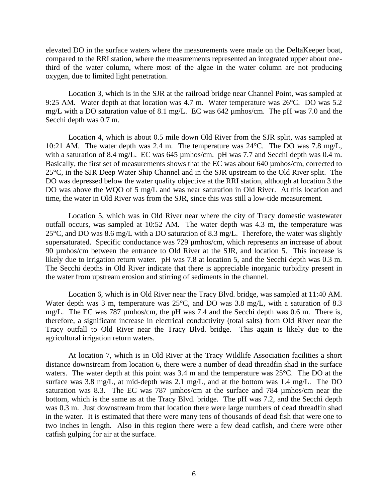elevated DO in the surface waters where the measurements were made on the DeltaKeeper boat, compared to the RRI station, where the measurements represented an integrated upper about onethird of the water column, where most of the algae in the water column are not producing oxygen, due to limited light penetration.

 Location 3, which is in the SJR at the railroad bridge near Channel Point, was sampled at 9:25 AM. Water depth at that location was 4.7 m. Water temperature was 26°C. DO was 5.2 mg/L with a DO saturation value of 8.1 mg/L. EC was 642  $\mu$ mhos/cm. The pH was 7.0 and the Secchi depth was 0.7 m.

 Location 4, which is about 0.5 mile down Old River from the SJR split, was sampled at 10:21 AM. The water depth was 2.4 m. The temperature was 24°C. The DO was 7.8 mg/L, with a saturation of 8.4 mg/L. EC was 645 µmhos/cm. pH was 7.7 and Secchi depth was 0.4 m. Basically, the first set of measurements shows that the EC was about 640 µmhos/cm, corrected to 25°C, in the SJR Deep Water Ship Channel and in the SJR upstream to the Old River split. The DO was depressed below the water quality objective at the RRI station, although at location 3 the DO was above the WQO of 5 mg/L and was near saturation in Old River. At this location and time, the water in Old River was from the SJR, since this was still a low-tide measurement.

 Location 5, which was in Old River near where the city of Tracy domestic wastewater outfall occurs, was sampled at 10:52 AM. The water depth was 4.3 m, the temperature was 25°C, and DO was 8.6 mg/L with a DO saturation of 8.3 mg/L. Therefore, the water was slightly supersaturated. Specific conductance was 729 µmhos/cm, which represents an increase of about 90 µmhos/cm between the entrance to Old River at the SJR, and location 5. This increase is likely due to irrigation return water. pH was 7.8 at location 5, and the Secchi depth was 0.3 m. The Secchi depths in Old River indicate that there is appreciable inorganic turbidity present in the water from upstream erosion and stirring of sediments in the channel.

 Location 6, which is in Old River near the Tracy Blvd. bridge, was sampled at 11:40 AM. Water depth was 3 m, temperature was  $25^{\circ}$ C, and DO was 3.8 mg/L, with a saturation of 8.3 mg/L. The EC was 787 µmhos/cm, the pH was 7.4 and the Secchi depth was 0.6 m. There is, therefore, a significant increase in electrical conductivity (total salts) from Old River near the Tracy outfall to Old River near the Tracy Blvd. bridge. This again is likely due to the agricultural irrigation return waters.

 At location 7, which is in Old River at the Tracy Wildlife Association facilities a short distance downstream from location 6, there were a number of dead threadfin shad in the surface waters. The water depth at this point was 3.4 m and the temperature was 25°C. The DO at the surface was 3.8 mg/L, at mid-depth was 2.1 mg/L, and at the bottom was 1.4 mg/L. The DO saturation was 8.3. The EC was 787 umhos/cm at the surface and 784 umhos/cm near the bottom, which is the same as at the Tracy Blvd. bridge. The pH was 7.2, and the Secchi depth was 0.3 m. Just downstream from that location there were large numbers of dead threadfin shad in the water. It is estimated that there were many tens of thousands of dead fish that were one to two inches in length. Also in this region there were a few dead catfish, and there were other catfish gulping for air at the surface.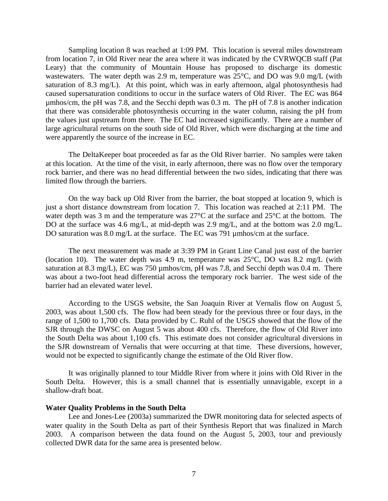Sampling location 8 was reached at 1:09 PM. This location is several miles downstream from location 7, in Old River near the area where it was indicated by the CVRWQCB staff (Pat Leary) that the community of Mountain House has proposed to discharge its domestic wastewaters. The water depth was 2.9 m, temperature was 25°C, and DO was 9.0 mg/L (with saturation of 8.3 mg/L). At this point, which was in early afternoon, algal photosynthesis had caused supersaturation conditions to occur in the surface waters of Old River. The EC was 864 µmhos/cm, the pH was 7.8, and the Secchi depth was 0.3 m. The pH of 7.8 is another indication that there was considerable photosynthesis occurring in the water column, raising the pH from the values just upstream from there. The EC had increased significantly. There are a number of large agricultural returns on the south side of Old River, which were discharging at the time and were apparently the source of the increase in EC.

 The DeltaKeeper boat proceeded as far as the Old River barrier. No samples were taken at this location. At the time of the visit, in early afternoon, there was no flow over the temporary rock barrier, and there was no head differential between the two sides, indicating that there was limited flow through the barriers.

 On the way back up Old River from the barrier, the boat stopped at location 9, which is just a short distance downstream from location 7. This location was reached at 2:11 PM. The water depth was 3 m and the temperature was 27°C at the surface and 25°C at the bottom. The DO at the surface was 4.6 mg/L, at mid-depth was 2.9 mg/L, and at the bottom was 2.0 mg/L. DO saturation was 8.0 mg/L at the surface. The EC was 791 µmhos/cm at the surface.

 The next measurement was made at 3:39 PM in Grant Line Canal just east of the barrier (location 10). The water depth was 4.9 m, temperature was  $25^{\circ}$ C, DO was 8.2 mg/L (with saturation at 8.3 mg/L), EC was 750 µmhos/cm, pH was 7.8, and Secchi depth was 0.4 m. There was about a two-foot head differential across the temporary rock barrier. The west side of the barrier had an elevated water level.

 According to the USGS website, the San Joaquin River at Vernalis flow on August 5, 2003, was about 1,500 cfs. The flow had been steady for the previous three or four days, in the range of 1,500 to 1,700 cfs. Data provided by C. Ruhl of the USGS showed that the flow of the SJR through the DWSC on August 5 was about 400 cfs. Therefore, the flow of Old River into the South Delta was about 1,100 cfs. This estimate does not consider agricultural diversions in the SJR downstream of Vernalis that were occurring at that time. These diversions, however, would not be expected to significantly change the estimate of the Old River flow.

 It was originally planned to tour Middle River from where it joins with Old River in the South Delta. However, this is a small channel that is essentially unnavigable, except in a shallow-draft boat.

#### **Water Quality Problems in the South Delta**

 Lee and Jones-Lee (2003a) summarized the DWR monitoring data for selected aspects of water quality in the South Delta as part of their Synthesis Report that was finalized in March 2003. A comparison between the data found on the August 5, 2003, tour and previously collected DWR data for the same area is presented below.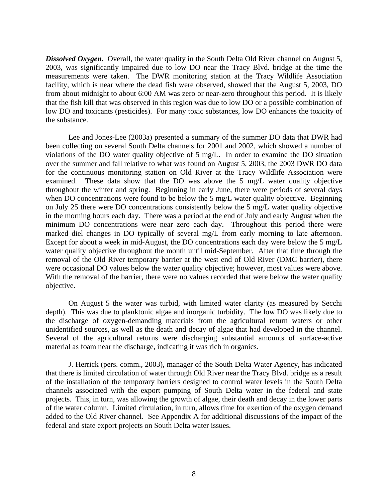**Dissolved Oxygen.** Overall, the water quality in the South Delta Old River channel on August 5, 2003, was significantly impaired due to low DO near the Tracy Blvd. bridge at the time the measurements were taken. The DWR monitoring station at the Tracy Wildlife Association facility, which is near where the dead fish were observed, showed that the August 5, 2003, DO from about midnight to about 6:00 AM was zero or near-zero throughout this period. It is likely that the fish kill that was observed in this region was due to low DO or a possible combination of low DO and toxicants (pesticides). For many toxic substances, low DO enhances the toxicity of the substance.

 Lee and Jones-Lee (2003a) presented a summary of the summer DO data that DWR had been collecting on several South Delta channels for 2001 and 2002, which showed a number of violations of the DO water quality objective of 5 mg/L. In order to examine the DO situation over the summer and fall relative to what was found on August 5, 2003, the 2003 DWR DO data for the continuous monitoring station on Old River at the Tracy Wildlife Association were examined. These data show that the DO was above the 5 mg/L water quality objective throughout the winter and spring. Beginning in early June, there were periods of several days when DO concentrations were found to be below the 5 mg/L water quality objective. Beginning on July 25 there were DO concentrations consistently below the 5 mg/L water quality objective in the morning hours each day. There was a period at the end of July and early August when the minimum DO concentrations were near zero each day. Throughout this period there were marked diel changes in DO typically of several mg/L from early morning to late afternoon. Except for about a week in mid-August, the DO concentrations each day were below the 5 mg/L water quality objective throughout the month until mid-September. After that time through the removal of the Old River temporary barrier at the west end of Old River (DMC barrier), there were occasional DO values below the water quality objective; however, most values were above. With the removal of the barrier, there were no values recorded that were below the water quality objective.

 On August 5 the water was turbid, with limited water clarity (as measured by Secchi depth). This was due to planktonic algae and inorganic turbidity. The low DO was likely due to the discharge of oxygen-demanding materials from the agricultural return waters or other unidentified sources, as well as the death and decay of algae that had developed in the channel. Several of the agricultural returns were discharging substantial amounts of surface-active material as foam near the discharge, indicating it was rich in organics.

 J. Herrick (pers. comm., 2003), manager of the South Delta Water Agency, has indicated that there is limited circulation of water through Old River near the Tracy Blvd. bridge as a result of the installation of the temporary barriers designed to control water levels in the South Delta channels associated with the export pumping of South Delta water in the federal and state projects. This, in turn, was allowing the growth of algae, their death and decay in the lower parts of the water column. Limited circulation, in turn, allows time for exertion of the oxygen demand added to the Old River channel. See Appendix A for additional discussions of the impact of the federal and state export projects on South Delta water issues.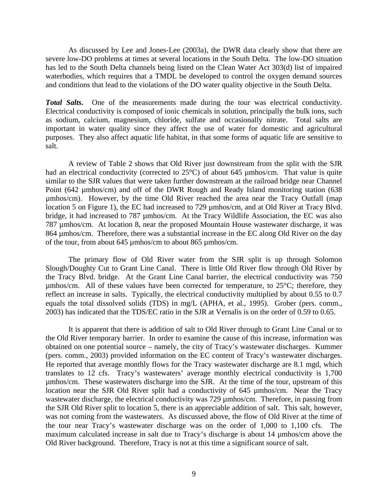As discussed by Lee and Jones-Lee (2003a), the DWR data clearly show that there are severe low-DO problems at times at several locations in the South Delta. The low-DO situation has led to the South Delta channels being listed on the Clean Water Act 303(d) list of impaired waterbodies, which requires that a TMDL be developed to control the oxygen demand sources and conditions that lead to the violations of the DO water quality objective in the South Delta.

**Total Salts.** One of the measurements made during the tour was electrical conductivity. Electrical conductivity is composed of ionic chemicals in solution, principally the bulk ions, such as sodium, calcium, magnesium, chloride, sulfate and occasionally nitrate. Total salts are important in water quality since they affect the use of water for domestic and agricultural purposes. They also affect aquatic life habitat, in that some forms of aquatic life are sensitive to salt.

 A review of Table 2 shows that Old River just downstream from the split with the SJR had an electrical conductivity (corrected to 25°C) of about 645 µmhos/cm. That value is quite similar to the SJR values that were taken further downstream at the railroad bridge near Channel Point (642 µmhos/cm) and off of the DWR Rough and Ready Island monitoring station (638 µmhos/cm). However, by the time Old River reached the area near the Tracy Outfall (map location 5 on Figure 1), the EC had increased to 729 µmhos/cm, and at Old River at Tracy Blvd. bridge, it had increased to 787 µmhos/cm. At the Tracy Wildlife Association, the EC was also 787 µmhos/cm. At location 8, near the proposed Mountain House wastewater discharge, it was 864 umhos/cm. Therefore, there was a substantial increase in the EC along Old River on the day of the tour, from about 645 µmhos/cm to about 865 µmhos/cm.

 The primary flow of Old River water from the SJR split is up through Solomon Slough/Doughty Cut to Grant Line Canal. There is little Old River flow through Old River by the Tracy Blvd. bridge. At the Grant Line Canal barrier, the electrical conductivity was 750 umhos/cm. All of these values have been corrected for temperature, to  $25^{\circ}$ C; therefore, they reflect an increase in salts. Typically, the electrical conductivity multiplied by about 0.55 to 0.7 equals the total dissolved solids (TDS) in mg/L (APHA, et al., 1995). Grober (pers. comm., 2003) has indicated that the TDS/EC ratio in the SJR at Vernalis is on the order of 0.59 to 0.65.

 It is apparent that there is addition of salt to Old River through to Grant Line Canal or to the Old River temporary barrier. In order to examine the cause of this increase, information was obtained on one potential source – namely, the city of Tracy's wastewater discharges. Kummer (pers. comm., 2003) provided information on the EC content of Tracy's wastewater discharges. He reported that average monthly flows for the Tracy wastewater discharge are 8.1 mgd, which translates to 12 cfs. Tracy's wastewaters' average monthly electrical conductivity is 1,700 µmhos/cm. These wastewaters discharge into the SJR. At the time of the tour, upstream of this location near the SJR Old River split had a conductivity of 645 umhos/cm. Near the Tracy wastewater discharge, the electrical conductivity was 729 µmhos/cm. Therefore, in passing from the SJR Old River split to location 5, there is an appreciable addition of salt. This salt, however, was not coming from the wastewaters. As discussed above, the flow of Old River at the time of the tour near Tracy's wastewater discharge was on the order of 1,000 to 1,100 cfs. The maximum calculated increase in salt due to Tracy's discharge is about 14  $\mu$ mhos/cm above the Old River background. Therefore, Tracy is not at this time a significant source of salt.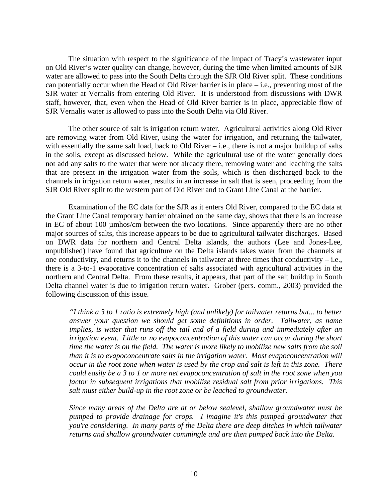The situation with respect to the significance of the impact of Tracy's wastewater input on Old River's water quality can change, however, during the time when limited amounts of SJR water are allowed to pass into the South Delta through the SJR Old River split. These conditions can potentially occur when the Head of Old River barrier is in place – i.e., preventing most of the SJR water at Vernalis from entering Old River. It is understood from discussions with DWR staff, however, that, even when the Head of Old River barrier is in place, appreciable flow of SJR Vernalis water is allowed to pass into the South Delta via Old River.

 The other source of salt is irrigation return water. Agricultural activities along Old River are removing water from Old River, using the water for irrigation, and returning the tailwater, with essentially the same salt load, back to Old River – i.e., there is not a major buildup of salts in the soils, except as discussed below. While the agricultural use of the water generally does not add any salts to the water that were not already there, removing water and leaching the salts that are present in the irrigation water from the soils, which is then discharged back to the channels in irrigation return water, results in an increase in salt that is seen, proceeding from the SJR Old River split to the western part of Old River and to Grant Line Canal at the barrier.

 Examination of the EC data for the SJR as it enters Old River, compared to the EC data at the Grant Line Canal temporary barrier obtained on the same day, shows that there is an increase in EC of about 100 µmhos/cm between the two locations. Since apparently there are no other major sources of salts, this increase appears to be due to agricultural tailwater discharges. Based on DWR data for northern and Central Delta islands, the authors (Lee and Jones-Lee, unpublished) have found that agriculture on the Delta islands takes water from the channels at one conductivity, and returns it to the channels in tailwater at three times that conductivity  $-$  i.e., there is a 3-to-1 evaporative concentration of salts associated with agricultural activities in the northern and Central Delta. From these results, it appears, that part of the salt buildup in South Delta channel water is due to irrigation return water. Grober (pers. comm., 2003) provided the following discussion of this issue.

*"I think a 3 to 1 ratio is extremely high (and unlikely) for tailwater returns but... to better answer your question we should get some definitions in order. Tailwater, as name implies, is water that runs off the tail end of a field during and immediately after an irrigation event. Little or no evapoconcentration of this water can occur during the short time the water is on the field. The water is more likely to mobilize new salts from the soil than it is to evapoconcentrate salts in the irrigation water. Most evapoconcentration will occur in the root zone when water is used by the crop and salt is left in this zone. There could easily be a 3 to 1 or more net evapoconcentration of salt in the root zone when you factor in subsequent irrigations that mobilize residual salt from prior irrigations. This salt must either build-up in the root zone or be leached to groundwater.* 

*Since many areas of the Delta are at or below sealevel, shallow groundwater must be pumped to provide drainage for crops. I imagine it's this pumped groundwater that you're considering. In many parts of the Delta there are deep ditches in which tailwater returns and shallow groundwater commingle and are then pumped back into the Delta.*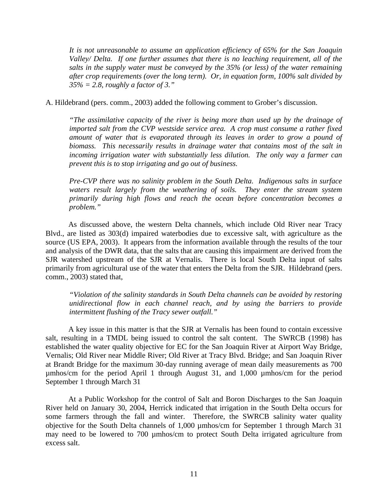*It is not unreasonable to assume an application efficiency of 65% for the San Joaquin Valley/ Delta. If one further assumes that there is no leaching requirement, all of the salts in the supply water must be conveyed by the 35% (or less) of the water remaining after crop requirements (over the long term). Or, in equation form, 100% salt divided by 35% = 2.8, roughly a factor of 3."* 

A. Hildebrand (pers. comm., 2003) added the following comment to Grober's discussion.

*"The assimilative capacity of the river is being more than used up by the drainage of imported salt from the CVP westside service area. A crop must consume a rather fixed amount of water that is evaporated through its leaves in order to grow a pound of biomass. This necessarily results in drainage water that contains most of the salt in incoming irrigation water with substantially less dilution. The only way a farmer can prevent this is to stop irrigating and go out of business.* 

*Pre-CVP there was no salinity problem in the South Delta. Indigenous salts in surface waters result largely from the weathering of soils. They enter the stream system primarily during high flows and reach the ocean before concentration becomes a problem."* 

 As discussed above, the western Delta channels, which include Old River near Tracy Blvd., are listed as 303(d) impaired waterbodies due to excessive salt, with agriculture as the source (US EPA, 2003). It appears from the information available through the results of the tour and analysis of the DWR data, that the salts that are causing this impairment are derived from the SJR watershed upstream of the SJR at Vernalis. There is local South Delta input of salts primarily from agricultural use of the water that enters the Delta from the SJR. Hildebrand (pers. comm., 2003) stated that,

*"Violation of the salinity standards in South Delta channels can be avoided by restoring unidirectional flow in each channel reach, and by using the barriers to provide intermittent flushing of the Tracy sewer outfall."* 

 A key issue in this matter is that the SJR at Vernalis has been found to contain excessive salt, resulting in a TMDL being issued to control the salt content. The SWRCB (1998) has established the water quality objective for EC for the San Joaquin River at Airport Way Bridge, Vernalis; Old River near Middle River; Old River at Tracy Blvd. Bridge; and San Joaquin River at Brandt Bridge for the maximum 30-day running average of mean daily measurements as 700 µmhos/cm for the period April 1 through August 31, and 1,000 µmhos/cm for the period September 1 through March 31

 At a Public Workshop for the control of Salt and Boron Discharges to the San Joaquin River held on January 30, 2004, Herrick indicated that irrigation in the South Delta occurs for some farmers through the fall and winter. Therefore, the SWRCB salinity water quality objective for the South Delta channels of 1,000 umhos/cm for September 1 through March 31 may need to be lowered to 700 µmhos/cm to protect South Delta irrigated agriculture from excess salt.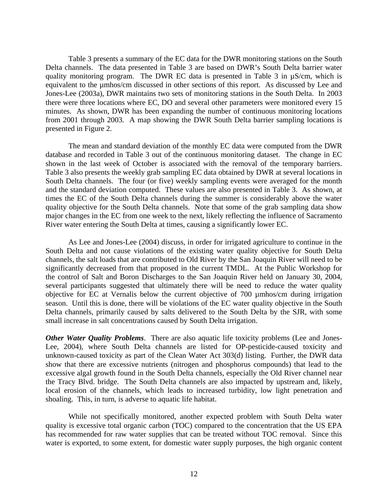Table 3 presents a summary of the EC data for the DWR monitoring stations on the South Delta channels. The data presented in Table 3 are based on DWR's South Delta barrier water quality monitoring program. The DWR EC data is presented in Table 3 in µS/cm, which is equivalent to the µmhos/cm discussed in other sections of this report. As discussed by Lee and Jones-Lee (2003a), DWR maintains two sets of monitoring stations in the South Delta. In 2003 there were three locations where EC, DO and several other parameters were monitored every 15 minutes. As shown, DWR has been expanding the number of continuous monitoring locations from 2001 through 2003. A map showing the DWR South Delta barrier sampling locations is presented in Figure 2.

 The mean and standard deviation of the monthly EC data were computed from the DWR database and recorded in Table 3 out of the continuous monitoring dataset. The change in EC shown in the last week of October is associated with the removal of the temporary barriers. Table 3 also presents the weekly grab sampling EC data obtained by DWR at several locations in South Delta channels. The four (or five) weekly sampling events were averaged for the month and the standard deviation computed. These values are also presented in Table 3. As shown, at times the EC of the South Delta channels during the summer is considerably above the water quality objective for the South Delta channels. Note that some of the grab sampling data show major changes in the EC from one week to the next, likely reflecting the influence of Sacramento River water entering the South Delta at times, causing a significantly lower EC.

 As Lee and Jones-Lee (2004) discuss, in order for irrigated agriculture to continue in the South Delta and not cause violations of the existing water quality objective for South Delta channels, the salt loads that are contributed to Old River by the San Joaquin River will need to be significantly decreased from that proposed in the current TMDL. At the Public Workshop for the control of Salt and Boron Discharges to the San Joaquin River held on January 30, 2004, several participants suggested that ultimately there will be need to reduce the water quality objective for EC at Vernalis below the current objective of 700 µmhos/cm during irrigation season. Until this is done, there will be violations of the EC water quality objective in the South Delta channels, primarily caused by salts delivered to the South Delta by the SJR, with some small increase in salt concentrations caused by South Delta irrigation.

*Other Water Quality Problems*. There are also aquatic life toxicity problems (Lee and Jones-Lee, 2004), where South Delta channels are listed for OP-pesticide-caused toxicity and unknown-caused toxicity as part of the Clean Water Act 303(d) listing. Further, the DWR data show that there are excessive nutrients (nitrogen and phosphorus compounds) that lead to the excessive algal growth found in the South Delta channels, especially the Old River channel near the Tracy Blvd. bridge. The South Delta channels are also impacted by upstream and, likely, local erosion of the channels, which leads to increased turbidity, low light penetration and shoaling. This, in turn, is adverse to aquatic life habitat.

 While not specifically monitored, another expected problem with South Delta water quality is excessive total organic carbon (TOC) compared to the concentration that the US EPA has recommended for raw water supplies that can be treated without TOC removal. Since this water is exported, to some extent, for domestic water supply purposes, the high organic content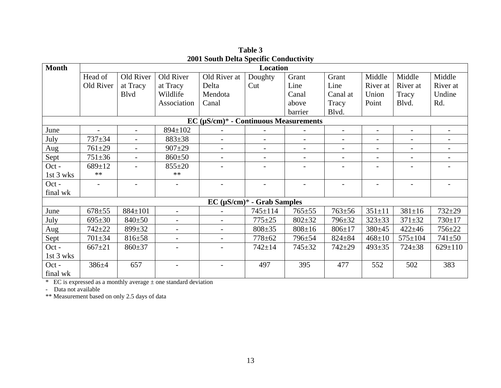| 2001 Bouth Dena Speeme Conductivity           |              |                          |                          |                          |                                    |                          |                          |                          |                          |                          |  |
|-----------------------------------------------|--------------|--------------------------|--------------------------|--------------------------|------------------------------------|--------------------------|--------------------------|--------------------------|--------------------------|--------------------------|--|
| <b>Month</b>                                  | Location     |                          |                          |                          |                                    |                          |                          |                          |                          |                          |  |
|                                               | Head of      | Old River<br>Old River   |                          | Old River at             | Doughty                            | Grant                    | Grant                    | Middle                   | Middle                   | Middle                   |  |
|                                               | Old River    | at Tracy                 | at Tracy                 | Delta                    | Cut                                | Line                     | Line                     | River at                 | River at                 | River at                 |  |
|                                               |              | Blvd                     | Wildlife                 | Mendota                  |                                    | Canal                    | Canal at                 | Union                    | Tracy                    | Undine                   |  |
|                                               |              |                          | Association              | Canal                    |                                    | above                    | Tracy                    | Point                    | Blvd.                    | Rd.                      |  |
|                                               |              |                          |                          |                          |                                    | barrier                  | Blvd.                    |                          |                          |                          |  |
| $EC$ ( $\mu$ S/cm)* - Continuous Measurements |              |                          |                          |                          |                                    |                          |                          |                          |                          |                          |  |
| June                                          |              |                          | 894±102                  |                          |                                    |                          | $\overline{\phantom{0}}$ |                          | $\overline{\phantom{0}}$ |                          |  |
| July                                          | $737 + 34$   |                          | $883 \pm 38$             |                          | $\blacksquare$                     | $\overline{\phantom{a}}$ | $\overline{\phantom{0}}$ | $\overline{\phantom{a}}$ | $\overline{\phantom{0}}$ |                          |  |
| Aug                                           | $761 + 29$   | $\overline{\phantom{0}}$ | $907+29$                 | $\overline{\phantom{a}}$ | $\overline{\phantom{a}}$           | $\overline{\phantom{a}}$ | $\overline{\phantom{a}}$ | $\overline{\phantom{a}}$ | $\overline{\phantom{a}}$ | $\overline{\phantom{a}}$ |  |
| Sept                                          | $751 \pm 36$ | $\overline{\phantom{a}}$ | $860+50$                 | $\blacksquare$           | $\overline{\phantom{0}}$           | $\overline{\phantom{0}}$ | $\overline{\phantom{0}}$ | $\overline{\phantom{0}}$ | $\overline{\phantom{0}}$ | $\overline{\phantom{0}}$ |  |
| Oct-                                          | $689 \pm 12$ | $\overline{\phantom{a}}$ | $855 + 20$               |                          |                                    |                          |                          |                          |                          | $\overline{\phantom{0}}$ |  |
| 1st 3 wks                                     | $**$         |                          | $**$                     |                          |                                    |                          |                          |                          |                          |                          |  |
| $Oct -$                                       |              | $\overline{a}$           |                          |                          |                                    |                          |                          |                          |                          |                          |  |
| final wk                                      |              |                          |                          |                          |                                    |                          |                          |                          |                          |                          |  |
|                                               |              |                          |                          |                          | $EC$ ( $\mu$ S/cm)* - Grab Samples |                          |                          |                          |                          |                          |  |
| June                                          | $678 + 55$   | $884 \pm 101$            |                          |                          | 745±114                            | $765 + 55$               | $763 + 56$               | $351 \pm 11$             | $381 \pm 16$             | $732 + 29$               |  |
| July                                          | $695 \pm 30$ | $840{\pm}50$             |                          |                          | $775 + 25$                         | $802 + 32$               | 796±32                   | $323 \pm 33$             | $371 + 32$               | $730 + 17$               |  |
| Aug                                           | $742 + 22$   | 899±32                   | $\overline{\phantom{a}}$ | $\overline{\phantom{0}}$ | $808 + 35$                         | $808 \pm 16$             | $806 \pm 17$             | $380 + 45$               | $422 + 46$               | $756 + 22$               |  |
| Sept                                          | $701 \pm 34$ | $816 \pm 58$             | $\overline{a}$           | $\overline{\phantom{a}}$ | $778 + 62$                         | 796±54                   | $824 + 84$               | $468 + 10$               | $575 \pm 104$            | $741 + 50$               |  |
| Oct -                                         | $667 \pm 21$ | $860 + 37$               | $\overline{\phantom{0}}$ | $\overline{\phantom{0}}$ | $742 \pm 14$                       | $745 + 32$               | $742 + 29$               | $493 \pm 35$             | $724 \pm 38$             | $629 \pm 110$            |  |
| 1st 3 wks                                     |              |                          |                          |                          |                                    |                          |                          |                          |                          |                          |  |
| Oct-                                          | $386 + 4$    | 657                      |                          |                          | 497                                | 395                      | 477                      | 552                      | 502                      | 383                      |  |
| final wk                                      |              |                          |                          |                          |                                    |                          |                          |                          |                          |                          |  |

**Table 3 2001 South Delta Specific Conductivity** 

 $*$  EC is expressed as a monthly average  $\pm$  one standard deviation

- Data not available

\*\* Measurement based on only 2.5 days of data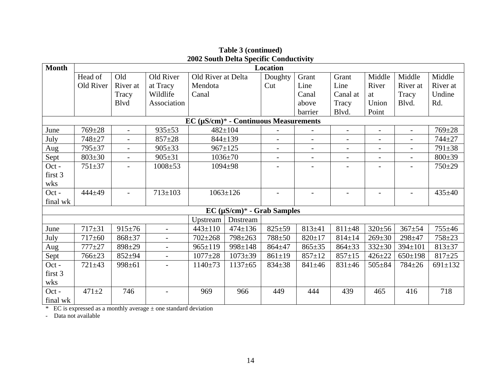| <b>Month</b>                                                        | -002 Bouth Dena Specific Contractivit<br>Location |                          |                          |                    |                              |                          |                          |                          |                          |                          |               |
|---------------------------------------------------------------------|---------------------------------------------------|--------------------------|--------------------------|--------------------|------------------------------|--------------------------|--------------------------|--------------------------|--------------------------|--------------------------|---------------|
|                                                                     | Head of                                           | Old                      | Old River                | Old River at Delta |                              | Doughty                  | Grant                    | Grant                    | Middle                   | Middle                   | Middle        |
|                                                                     | Old River                                         | River at                 | at Tracy                 | Mendota            |                              | Cut                      | Line                     | Line                     | River                    | River at                 | River at      |
|                                                                     |                                                   | Tracy                    | Wildlife                 | Canal              |                              |                          | Canal                    | Canal at                 | at                       | Tracy                    | Undine        |
|                                                                     |                                                   | <b>B</b> lvd             | Association              |                    |                              |                          | above                    | Tracy                    | Union                    | Blvd.                    | Rd.           |
|                                                                     |                                                   |                          |                          |                    |                              |                          | barrier                  | Blvd.                    | Point                    |                          |               |
| $EC$ ( $\mu$ S/cm)* - Continuous Measurements                       |                                                   |                          |                          |                    |                              |                          |                          |                          |                          |                          |               |
| June                                                                | $769 \pm 28$                                      | $\overline{a}$           | $935 + 53$               | $482 \pm 104$      |                              |                          |                          | $\blacksquare$           | $\overline{a}$           | $\overline{\phantom{0}}$ | $769 \pm 28$  |
| July                                                                | 748±27                                            | $\overline{\phantom{a}}$ | $857 + 28$               |                    | $844 \pm 139$                | $\overline{\phantom{0}}$ | $\overline{\phantom{0}}$ | $\overline{\phantom{a}}$ | $\overline{\phantom{a}}$ | $\overline{\phantom{a}}$ | $744 + 27$    |
| Aug                                                                 | 795±37                                            | $\overline{a}$           | $905 \pm 33$             |                    | $967 \pm 125$                |                          |                          |                          |                          | $\overline{\phantom{m}}$ | $791 \pm 38$  |
| Sept                                                                | $803 \pm 30$                                      | $\overline{\phantom{a}}$ | $905 \pm 31$             |                    | $1036 \pm 70$                | $\overline{\phantom{a}}$ | $\overline{\phantom{a}}$ | $\overline{\phantom{a}}$ | $\overline{\phantom{a}}$ | $\overline{\phantom{0}}$ | $800 \pm 39$  |
| Oct-                                                                | $751 + 37$                                        | $\overline{\phantom{a}}$ | $1008 + 53$              | $1094 \pm 98$      |                              |                          |                          |                          |                          | $\overline{\phantom{a}}$ | 750±29        |
| first 3                                                             |                                                   |                          |                          |                    |                              |                          |                          |                          |                          |                          |               |
| wks                                                                 |                                                   |                          |                          |                    |                              |                          |                          |                          |                          |                          |               |
| Oct-                                                                | 444±49                                            | $\overline{\phantom{a}}$ | $713 \pm 103$            | $1063 \pm 126$     |                              |                          |                          |                          |                          | $\overline{\phantom{a}}$ | $435 \pm 40$  |
| final wk                                                            |                                                   |                          |                          |                    |                              |                          |                          |                          |                          |                          |               |
|                                                                     |                                                   |                          |                          |                    | $EC (µS/cm)* - Grab Samples$ |                          |                          |                          |                          |                          |               |
|                                                                     |                                                   |                          |                          | Upstream           | Dnstream                     |                          |                          |                          |                          |                          |               |
| June                                                                | $717 + 31$                                        | $915 \pm 76$             |                          | $443 \pm 110$      | $474 \pm 136$                | $825 + 59$               | $813 + 41$               | $811 \pm 48$             | $320 \pm 56$             | $367 + 54$               | 755±46        |
| July                                                                | $717 \pm 60$                                      | 868±37                   | $\overline{\phantom{0}}$ | $702 + 268$        | 798±263                      | 788±50                   | $820 \pm 17$             | $814 \pm 14$             | $269 \pm 30$             | 298±47                   | 758±23        |
| Aug                                                                 | $777 + 27$                                        | $898 + 29$               | $\overline{\phantom{a}}$ | $965 \pm 119$      | $998 \pm 148$                | $864 + 47$               | $865 \pm 35$             | $864 \pm 33$             | $332+30$                 | 394±101                  | $813 \pm 37$  |
| Sept                                                                | $766 \pm 23$                                      | $852 + 94$               | $\overline{\phantom{a}}$ | $1077 + 28$        | $1073 \pm 39$                | $861 \pm 19$             | $857 \pm 12$             | $857 \pm 15$             | $426 + 22$               | $650 \pm 198$            | $817 \pm 25$  |
| Oct-                                                                | $721 + 43$                                        | 998±61                   |                          | $1140 \pm 73$      | $1137 \pm 65$                | $834 \pm 38$             | $841 \pm 46$             | $831 + 46$               | $505 \pm 84$             | 784±26                   | $691 \pm 132$ |
| first 3                                                             |                                                   |                          |                          |                    |                              |                          |                          |                          |                          |                          |               |
| wks                                                                 |                                                   |                          |                          |                    |                              |                          |                          |                          |                          |                          |               |
| Oct-                                                                | $471 + 2$                                         | 746                      |                          | 969                | 966                          | 449                      | 444                      | 439                      | 465                      | 416                      | 718           |
| final wk                                                            |                                                   |                          |                          |                    |                              |                          |                          |                          |                          |                          |               |
| * EC is expressed as a monthly average $\pm$ one standard deviation |                                                   |                          |                          |                    |                              |                          |                          |                          |                          |                          |               |

**Table 3 (continued) 2002 South Delta Specific Conductivity** 

- Data not available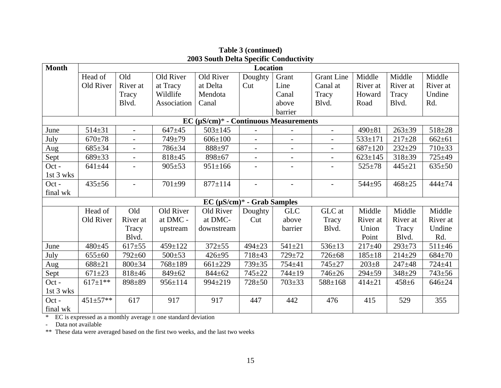| <b>Month</b>                                  | 2009 Bouth Dena Speeme Conductivity<br>Location |                          |               |                                    |                          |                          |                          |               |              |              |  |
|-----------------------------------------------|-------------------------------------------------|--------------------------|---------------|------------------------------------|--------------------------|--------------------------|--------------------------|---------------|--------------|--------------|--|
|                                               |                                                 |                          |               |                                    |                          |                          |                          |               |              |              |  |
|                                               | Head of                                         | Old                      | Old River     | Old River                          | Doughty                  | Grant                    | <b>Grant Line</b>        | Middle        | Middle       | Middle       |  |
|                                               | Old River                                       | River at                 | at Tracy      | at Delta                           | Cut                      | Line                     | Canal at                 | River at      | River at     | River at     |  |
|                                               |                                                 | Tracy                    | Wildlife      | Mendota                            |                          | Canal                    | Tracy                    | Howard        | Tracy        | Undine       |  |
|                                               |                                                 | Blvd.                    | Association   | Canal                              |                          | above                    | Blvd.                    | Road          | Blvd.        | Rd.          |  |
|                                               |                                                 |                          |               |                                    |                          | barrier                  |                          |               |              |              |  |
| $EC$ ( $\mu$ S/cm)* - Continuous Measurements |                                                 |                          |               |                                    |                          |                          |                          |               |              |              |  |
| June                                          | $514 \pm 31$                                    | $\blacksquare$           | $647 + 45$    | $503 \pm 145$                      |                          |                          | $\blacksquare$           | $490 \pm 81$  | $263 \pm 39$ | $518 + 28$   |  |
| July                                          | $670+78$                                        | $\overline{\phantom{a}}$ | 749±79        | $606 \pm 100$                      | $\overline{\phantom{a}}$ | $\overline{\phantom{a}}$ | $ \,$                    | $533 \pm 171$ | $217+28$     | $662 \pm 61$ |  |
| Aug                                           | $685 \pm 34$                                    | $\overline{\phantom{a}}$ | 786±34        | 888±97                             | $\blacksquare$           | $\blacksquare$           | $\blacksquare$           | $687 + 120$   | $232 + 29$   | $710 \pm 33$ |  |
| Sept                                          | $689 + 33$                                      | $\overline{\phantom{a}}$ | $818 + 45$    | 898±67                             | $\overline{\phantom{a}}$ |                          | $\overline{\phantom{a}}$ | $623 \pm 145$ | $318 + 39$   | 725±49       |  |
| Oct-                                          | $641 + 44$                                      |                          | $905 \pm 53$  | $951 \pm 166$                      | $\overline{\phantom{a}}$ | $\overline{\phantom{a}}$ | $\overline{\phantom{a}}$ | $525 \pm 78$  | $445 + 21$   | $635 + 50$   |  |
| 1st 3 wks                                     |                                                 |                          |               |                                    |                          |                          |                          |               |              |              |  |
| Oct-                                          | $435 \pm 56$                                    | $\overline{\phantom{a}}$ | $701 + 99$    | $877 \pm 114$                      | $\overline{\phantom{a}}$ | $\overline{\phantom{a}}$ | $\overline{\phantom{a}}$ | $544 + 95$    | $468 \pm 25$ | $444 + 74$   |  |
| final wk                                      |                                                 |                          |               |                                    |                          |                          |                          |               |              |              |  |
|                                               |                                                 |                          |               | $EC$ ( $\mu$ S/cm)* - Grab Samples |                          |                          |                          |               |              |              |  |
|                                               | Head of                                         | Old                      | Old River     | Old River                          | Doughty                  | <b>GLC</b>               | GLC at                   | Middle        | Middle       | Middle       |  |
|                                               | Old River                                       | River at                 | at DMC -      | at DMC-                            | Cut                      | above                    | Tracy                    | River at      | River at     | River at     |  |
|                                               |                                                 | Tracy                    | upstream      | downstream                         |                          | barrier                  | Blvd.                    | Union         | Tracy        | Undine       |  |
|                                               |                                                 | Blvd.                    |               |                                    |                          |                          |                          | Point         | Blvd.        | Rd.          |  |
| June                                          | $480 + 45$                                      | $617 + 55$               | 459±122       | $372 + 55$                         | $494 \pm 23$             | $541 + 21$               | $536 \pm 13$             | $217 \pm 40$  | $293 + 73$   | $511 \pm 46$ |  |
| July                                          | $655 \pm 60$                                    | $792 \pm 60$             | $500+53$      | $426 + 95$                         | $718 + 43$               | 729±72                   | $726 \pm 68$             | $185 \pm 18$  | $214 + 29$   | $684 + 70$   |  |
| Aug                                           | $688 + 21$                                      | $800 \pm 34$             | $768 + 189$   | $661 \pm 229$                      | 739±35                   | 754±41                   | $745 + 27$               | $203 \pm 8$   | $247 + 48$   | $724 + 41$   |  |
| Sept                                          | $671 + 23$                                      | $818 + 46$               | 849±62        | $844 + 62$                         | $745 + 22$               | $744 \pm 19$             | $746 + 26$               | $294 + 59$    | $348 + 29$   | $743 + 56$   |  |
| Oct-                                          | $617 \pm 1**$                                   | 898±89                   | $956 \pm 114$ | 994±219                            | $728 + 50$               | $703 \pm 33$             | 588±168                  | $414 \pm 21$  | $458 + 6$    | $646 + 24$   |  |
| 1st 3 wks                                     |                                                 |                          |               |                                    |                          |                          |                          |               |              |              |  |
| Oct-                                          | $451 \pm 57$ **                                 | 617                      | 917           | 917                                | 447                      | 442                      | 476                      | 415           | 529          | 355          |  |
| final wk                                      |                                                 |                          |               |                                    |                          |                          |                          |               |              |              |  |

**Table 3 (continued) 2003 South Delta Specific Conductivity** 

\* EC is expressed as a monthly average  $\pm$  one standard deviation

- Data not available

\*\* These data were averaged based on the first two weeks, and the last two weeks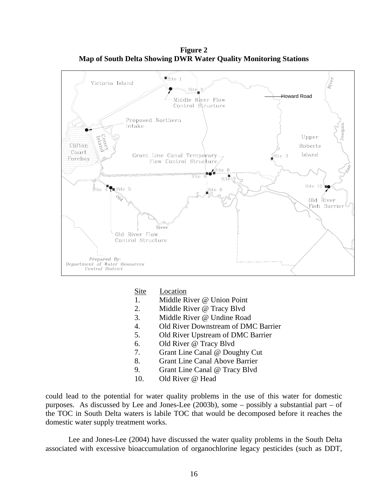**Figure 2 Map of South Delta Showing DWR Water Quality Monitoring Stations** 



Site Location

- 1. Middle River @ Union Point
- 2. Middle River @ Tracy Blvd
- 3. Middle River @ Undine Road
- 4. Old River Downstream of DMC Barrier
- 5. Old River Upstream of DMC Barrier
- 6. Old River @ Tracy Blvd
- 7. Grant Line Canal @ Doughty Cut
- 8. Grant Line Canal Above Barrier
- 9. Grant Line Canal @ Tracy Blvd
- 10. Old River @ Head

could lead to the potential for water quality problems in the use of this water for domestic purposes. As discussed by Lee and Jones-Lee (2003b), some – possibly a substantial part – of the TOC in South Delta waters is labile TOC that would be decomposed before it reaches the domestic water supply treatment works.

 Lee and Jones-Lee (2004) have discussed the water quality problems in the South Delta associated with excessive bioaccumulation of organochlorine legacy pesticides (such as DDT,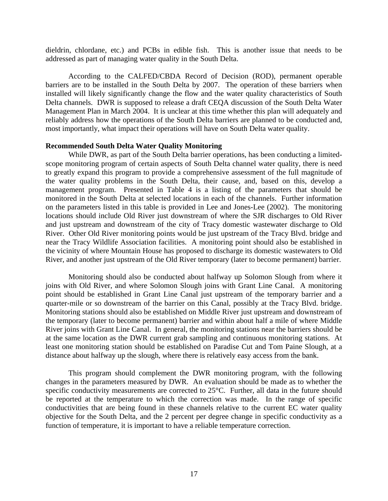dieldrin, chlordane, etc.) and PCBs in edible fish. This is another issue that needs to be addressed as part of managing water quality in the South Delta.

 According to the CALFED/CBDA Record of Decision (ROD), permanent operable barriers are to be installed in the South Delta by 2007. The operation of these barriers when installed will likely significantly change the flow and the water quality characteristics of South Delta channels. DWR is supposed to release a draft CEQA discussion of the South Delta Water Management Plan in March 2004. It is unclear at this time whether this plan will adequately and reliably address how the operations of the South Delta barriers are planned to be conducted and, most importantly, what impact their operations will have on South Delta water quality.

### **Recommended South Delta Water Quality Monitoring**

 While DWR, as part of the South Delta barrier operations, has been conducting a limitedscope monitoring program of certain aspects of South Delta channel water quality, there is need to greatly expand this program to provide a comprehensive assessment of the full magnitude of the water quality problems in the South Delta, their cause, and, based on this, develop a management program. Presented in Table 4 is a listing of the parameters that should be monitored in the South Delta at selected locations in each of the channels. Further information on the parameters listed in this table is provided in Lee and Jones-Lee (2002). The monitoring locations should include Old River just downstream of where the SJR discharges to Old River and just upstream and downstream of the city of Tracy domestic wastewater discharge to Old River. Other Old River monitoring points would be just upstream of the Tracy Blvd. bridge and near the Tracy Wildlife Association facilities. A monitoring point should also be established in the vicinity of where Mountain House has proposed to discharge its domestic wastewaters to Old River, and another just upstream of the Old River temporary (later to become permanent) barrier.

 Monitoring should also be conducted about halfway up Solomon Slough from where it joins with Old River, and where Solomon Slough joins with Grant Line Canal. A monitoring point should be established in Grant Line Canal just upstream of the temporary barrier and a quarter-mile or so downstream of the barrier on this Canal, possibly at the Tracy Blvd. bridge. Monitoring stations should also be established on Middle River just upstream and downstream of the temporary (later to become permanent) barrier and within about half a mile of where Middle River joins with Grant Line Canal. In general, the monitoring stations near the barriers should be at the same location as the DWR current grab sampling and continuous monitoring stations. At least one monitoring station should be established on Paradise Cut and Tom Paine Slough, at a distance about halfway up the slough, where there is relatively easy access from the bank.

 This program should complement the DWR monitoring program, with the following changes in the parameters measured by DWR. An evaluation should be made as to whether the specific conductivity measurements are corrected to 25°C. Further, all data in the future should be reported at the temperature to which the correction was made. In the range of specific conductivities that are being found in these channels relative to the current EC water quality objective for the South Delta, and the 2 percent per degree change in specific conductivity as a function of temperature, it is important to have a reliable temperature correction.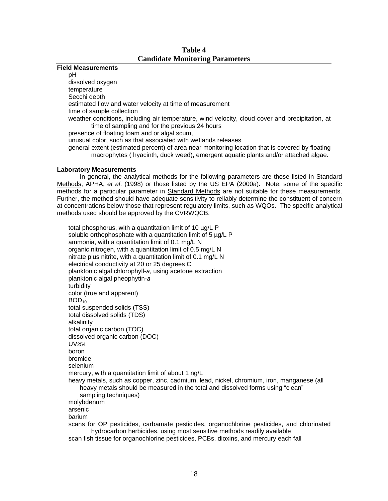# **Table 4 Candidate Monitoring Parameters**

## **Field Measurements**

pH

 dissolved oxygen temperature Secchi depth estimated flow and water velocity at time of measurement time of sample collection weather conditions, including air temperature, wind velocity, cloud cover and precipitation, at time of sampling and for the previous 24 hours presence of floating foam and or algal scum, unusual color, such as that associated with wetlands releases general extent (estimated percent) of area near monitoring location that is covered by floating macrophytes ( hyacinth, duck weed), emergent aquatic plants and/or attached algae.

#### **Laboratory Measurements**

In general, the analytical methods for the following parameters are those listed in Standard Methods, APHA, *et al*. (1998) or those listed by the US EPA (2000a). Note: some of the specific methods for a particular parameter in Standard Methods are not suitable for these measurements. Further, the method should have adequate sensitivity to reliably determine the constituent of concern at concentrations below those that represent regulatory limits, such as WQOs. The specific analytical methods used should be approved by the CVRWQCB.

 total phosphorus, with a quantitation limit of 10 µg/L P soluble orthophosphate with a quantitation limit of 5 µg/L P ammonia, with a quantitation limit of 0.1 mg/L N organic nitrogen, with a quantitation limit of 0.5 mg/L N nitrate plus nitrite, with a quantitation limit of 0.1 mg/L N electrical conductivity at 20 or 25 degrees C planktonic algal chlorophyll-*a*, using acetone extraction planktonic algal pheophytin-*a* turbidity color (true and apparent)  $BOD_{10}$  total suspended solids (TSS) total dissolved solids (TDS) alkalinity total organic carbon (TOC) dissolved organic carbon (DOC) UV254 boron bromide selenium mercury, with a quantitation limit of about 1 ng/L heavy metals, such as copper, zinc, cadmium, lead, nickel, chromium, iron, manganese (all heavy metals should be measured in the total and dissolved forms using "clean" sampling techniques) molybdenum arsenic barium scans for OP pesticides, carbamate pesticides, organochlorine pesticides, and chlorinated hydrocarbon herbicides, using most sensitive methods readily available scan fish tissue for organochlorine pesticides, PCBs, dioxins, and mercury each fall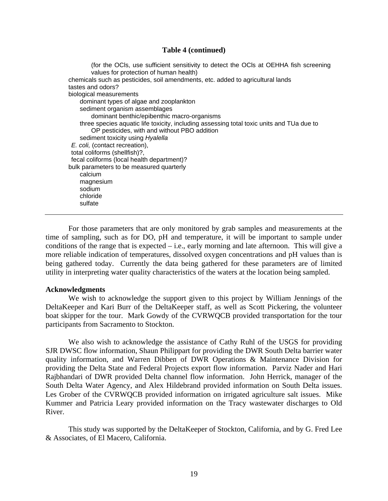#### **Table 4 (continued)**

 (for the OCls, use sufficient sensitivity to detect the OCls at OEHHA fish screening values for protection of human health) chemicals such as pesticides, soil amendments, etc. added to agricultural lands tastes and odors? biological measurements dominant types of algae and zooplankton sediment organism assemblages dominant benthic/epibenthic macro-organisms three species aquatic life toxicity, including assessing total toxic units and TUa due to OP pesticides, with and without PBO addition sediment toxicity using *Hyalella E. coli,* (contact recreation), total coliforms (shellfish)?, fecal coliforms (local health department)? bulk parameters to be measured quarterly calcium magnesium sodium chloride sulfate

 For those parameters that are only monitored by grab samples and measurements at the time of sampling, such as for DO, pH and temperature, it will be important to sample under conditions of the range that is expected  $-$  i.e., early morning and late afternoon. This will give a more reliable indication of temperatures, dissolved oxygen concentrations and pH values than is being gathered today. Currently the data being gathered for these parameters are of limited utility in interpreting water quality characteristics of the waters at the location being sampled.

#### **Acknowledgments**

 We wish to acknowledge the support given to this project by William Jennings of the DeltaKeeper and Kari Burr of the DeltaKeeper staff, as well as Scott Pickering, the volunteer boat skipper for the tour. Mark Gowdy of the CVRWQCB provided transportation for the tour participants from Sacramento to Stockton.

 We also wish to acknowledge the assistance of Cathy Ruhl of the USGS for providing SJR DWSC flow information, Shaun Philippart for providing the DWR South Delta barrier water quality information, and Warren Dibben of DWR Operations & Maintenance Division for providing the Delta State and Federal Projects export flow information. Parviz Nader and Hari Rajbhandari of DWR provided Delta channel flow information. John Herrick, manager of the South Delta Water Agency, and Alex Hildebrand provided information on South Delta issues. Les Grober of the CVRWQCB provided information on irrigated agriculture salt issues. Mike Kummer and Patricia Leary provided information on the Tracy wastewater discharges to Old River.

 This study was supported by the DeltaKeeper of Stockton, California, and by G. Fred Lee & Associates, of El Macero, California.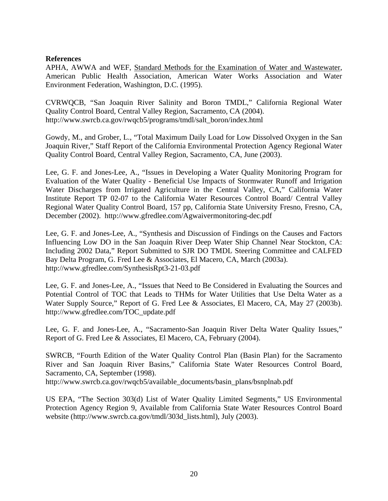# **References**

APHA, AWWA and WEF, Standard Methods for the Examination of Water and Wastewater, American Public Health Association, American Water Works Association and Water Environment Federation, Washington, D.C. (1995).

CVRWQCB, "San Joaquin River Salinity and Boron TMDL," California Regional Water Quality Control Board, Central Valley Region, Sacramento, CA (2004). http://www.swrcb.ca.gov/rwqcb5/programs/tmdl/salt\_boron/index.html

Gowdy, M., and Grober, L., "Total Maximum Daily Load for Low Dissolved Oxygen in the San Joaquin River," Staff Report of the California Environmental Protection Agency Regional Water Quality Control Board, Central Valley Region, Sacramento, CA, June (2003).

Lee, G. F. and Jones-Lee, A., "Issues in Developing a Water Quality Monitoring Program for Evaluation of the Water Quality - Beneficial Use Impacts of Stormwater Runoff and Irrigation Water Discharges from Irrigated Agriculture in the Central Valley, CA," California Water Institute Report TP 02-07 to the California Water Resources Control Board/ Central Valley Regional Water Quality Control Board, 157 pp, California State University Fresno, Fresno, CA, December (2002). http://www.gfredlee.com/Agwaivermonitoring-dec.pdf

Lee, G. F. and Jones-Lee, A., "Synthesis and Discussion of Findings on the Causes and Factors Influencing Low DO in the San Joaquin River Deep Water Ship Channel Near Stockton, CA: Including 2002 Data," Report Submitted to SJR DO TMDL Steering Committee and CALFED Bay Delta Program, G. Fred Lee & Associates, El Macero, CA, March (2003a). http://www.gfredlee.com/SynthesisRpt3-21-03.pdf

Lee, G. F. and Jones-Lee, A., "Issues that Need to Be Considered in Evaluating the Sources and Potential Control of TOC that Leads to THMs for Water Utilities that Use Delta Water as a Water Supply Source," Report of G. Fred Lee & Associates, El Macero, CA, May 27 (2003b). http://www.gfredlee.com/TOC\_update.pdf

Lee, G. F. and Jones-Lee, A., "Sacramento-San Joaquin River Delta Water Quality Issues," Report of G. Fred Lee & Associates, El Macero, CA, February (2004).

SWRCB, "Fourth Edition of the Water Quality Control Plan (Basin Plan) for the Sacramento River and San Joaquin River Basins," California State Water Resources Control Board, Sacramento, CA, September (1998).

http://www.swrcb.ca.gov/rwqcb5/available\_documents/basin\_plans/bsnplnab.pdf

US EPA, "The Section 303(d) List of Water Quality Limited Segments," US Environmental Protection Agency Region 9, Available from California State Water Resources Control Board website (http://www.swrcb.ca.gov/tmdl/303d\_lists.html), July (2003).